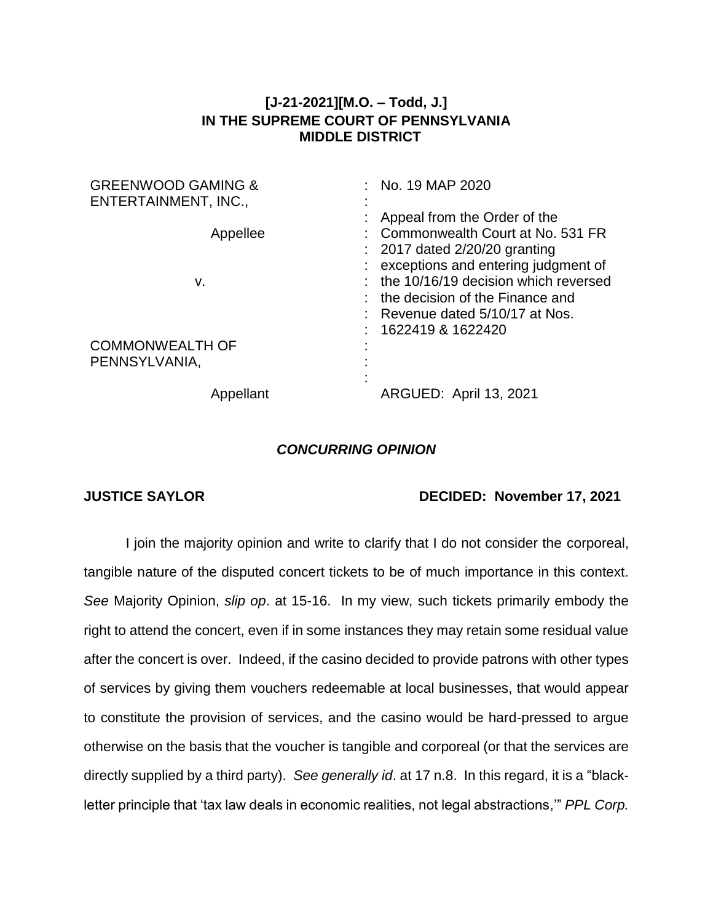## **[J-21-2021][M.O. – Todd, J.] IN THE SUPREME COURT OF PENNSYLVANIA MIDDLE DISTRICT**

| <b>GREENWOOD GAMING &amp;</b><br>ENTERTAINMENT, INC., | No. 19 MAP 2020                                                                                                                                                        |
|-------------------------------------------------------|------------------------------------------------------------------------------------------------------------------------------------------------------------------------|
| Appellee                                              | Appeal from the Order of the<br>Commonwealth Court at No. 531 FR<br>$: 2017$ dated $2/20/20$ granting                                                                  |
| v.                                                    | exceptions and entering judgment of<br>: the 10/16/19 decision which reversed<br>the decision of the Finance and<br>Revenue dated 5/10/17 at Nos.<br>1622419 & 1622420 |
| <b>COMMONWEALTH OF</b><br>PENNSYLVANIA,               |                                                                                                                                                                        |
| Appellant                                             | <b>ARGUED: April 13, 2021</b>                                                                                                                                          |

## *CONCURRING OPINION*

## **JUSTICE SAYLOR DECIDED: November 17, 2021**

I join the majority opinion and write to clarify that I do not consider the corporeal, tangible nature of the disputed concert tickets to be of much importance in this context. *See* Majority Opinion, *slip op*. at 15-16. In my view, such tickets primarily embody the right to attend the concert, even if in some instances they may retain some residual value after the concert is over. Indeed, if the casino decided to provide patrons with other types of services by giving them vouchers redeemable at local businesses, that would appear to constitute the provision of services, and the casino would be hard-pressed to argue otherwise on the basis that the voucher is tangible and corporeal (or that the services are directly supplied by a third party). *See generally id*. at 17 n.8. In this regard, it is a "blackletter principle that 'tax law deals in economic realities, not legal abstractions,'" *PPL Corp.*